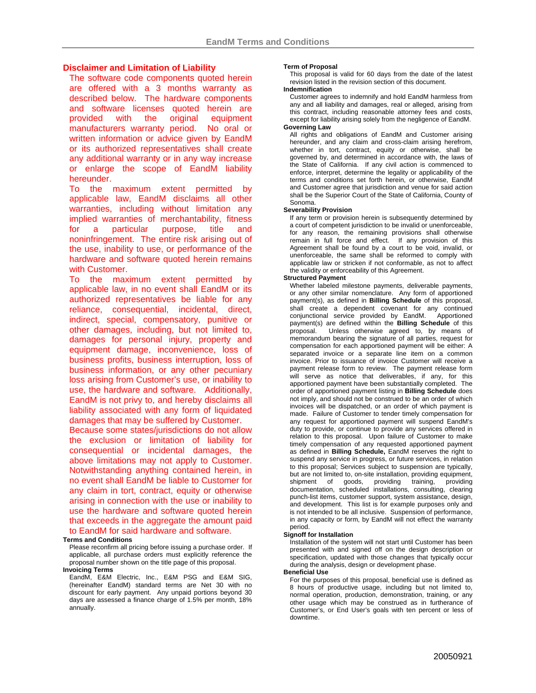# **Disclaimer and Limitation of Liability**

The software code components quoted herein are offered with a 3 months warranty as described below. The hardware components and software licenses quoted herein are provided with the original equipment manufacturers warranty period. No oral or written information or advice given by EandM or its authorized representatives shall create any additional warranty or in any way increase or enlarge the scope of EandM liability hereunder.

To the maximum extent permitted by applicable law, EandM disclaims all other warranties, including without limitation any implied warranties of merchantability, fitness for a particular purpose, title and noninfringement. The entire risk arising out of the use, inability to use, or performance of the hardware and software quoted herein remains with Customer.

To the maximum extent permitted by applicable law, in no event shall EandM or its authorized representatives be liable for any reliance, consequential, incidental, direct, indirect, special, compensatory, punitive or other damages, including, but not limited to, damages for personal injury, property and equipment damage, inconvenience, loss of business profits, business interruption, loss of business information, or any other pecuniary loss arising from Customer's use, or inability to use, the hardware and software. Additionally, EandM is not privy to, and hereby disclaims all liability associated with any form of liquidated damages that may be suffered by Customer.

Because some states/jurisdictions do not allow the exclusion or limitation of liability for consequential or incidental damages, the above limitations may not apply to Customer. Notwithstanding anything contained herein, in no event shall EandM be liable to Customer for any claim in tort, contract, equity or otherwise arising in connection with the use or inability to use the hardware and software quoted herein that exceeds in the aggregate the amount paid to EandM for said hardware and software.

#### **Terms and Conditions**

Please reconfirm all pricing before issuing a purchase order. If applicable, all purchase orders must explicitly reference the proposal number shown on the title page of this proposal.

## **Invoicing Terms**

EandM, E&M Electric, Inc., E&M PSG and E&M SIG, (hereinafter EandM) standard terms are Net 30 with no discount for early payment. Any unpaid portions beyond 30 days are assessed a finance charge of 1.5% per month, 18% annually.

### **Term of Proposal**

This proposal is valid for 60 days from the date of the latest revision listed in the revision section of this document.

#### **Indemnification**

Customer agrees to indemnify and hold EandM harmless from any and all liability and damages, real or alleged, arising from this contract, including reasonable attorney fees and costs, except for liability arising solely from the negligence of EandM. **Governing Law** 

All rights and obligations of EandM and Customer arising hereunder, and any claim and cross-claim arising herefrom. whether in tort, contract, equity or otherwise, shall be governed by, and determined in accordance with, the laws of the State of California. If any civil action is commenced to enforce, interpret, determine the legality or applicability of the terms and conditions set forth herein, or otherwise, EandM and Customer agree that jurisdiction and venue for said action shall be the Superior Court of the State of California, County of Sonoma.

## **Severability Provision**

If any term or provision herein is subsequently determined by a court of competent jurisdiction to be invalid or unenforceable, for any reason, the remaining provisions shall otherwise remain in full force and effect. If any provision of this Agreement shall be found by a court to be void, invalid, or unenforceable, the same shall be reformed to comply with applicable law or stricken if not conformable, as not to affect the validity or enforceability of this Agreement.

## **Structured Payment**

Whether labeled milestone payments, deliverable payments, or any other similar nomenclature. Any form of apportioned payment(s), as defined in **Billing Schedule** of this proposal, shall create a dependent covenant for any continued conjunctional service provided by EandM. Apportioned payment(s) are defined within the **Billing Schedule** of this proposal. Unless otherwise agreed to, by means of Unless otherwise agreed to, by means of memorandum bearing the signature of all parties, request for compensation for each apportioned payment will be either: A separated invoice or a separate line item on a common invoice. Prior to issuance of invoice Customer will receive a payment release form to review. The payment release form will serve as notice that deliverables, if any, for this apportioned payment have been substantially completed. The order of apportioned payment listing in **Billing Schedule** does not imply, and should not be construed to be an order of which invoices will be dispatched, or an order of which payment is made. Failure of Customer to tender timely compensation for any request for apportioned payment will suspend EandM's duty to provide, or continue to provide any services offered in relation to this proposal. Upon failure of Customer to make timely compensation of any requested apportioned payment as defined in **Billing Schedule,** EandM reserves the right to suspend any service in progress, or future services, in relation to this proposal; Services subject to suspension are typically, but are not limited to, on-site installation, providing equipment, shipment of goods, providing training, providing documentation, scheduled installations, consulting, clearing punch-list items, customer support, system assistance, design, and development. This list is for example purposes only and is not intended to be all inclusive. Suspension of performance, in any capacity or form, by EandM will not effect the warranty period.

### **Signoff for Installation**

Installation of the system will not start until Customer has been presented with and signed off on the design description or specification, updated with those changes that typically occur during the analysis, design or development phase.

## **Beneficial Use**

For the purposes of this proposal, beneficial use is defined as 8 hours of productive usage, including but not limited to, normal operation, production, demonstration, training, or any other usage which may be construed as in furtherance of Customer's, or End User's goals with ten percent or less of downtime.